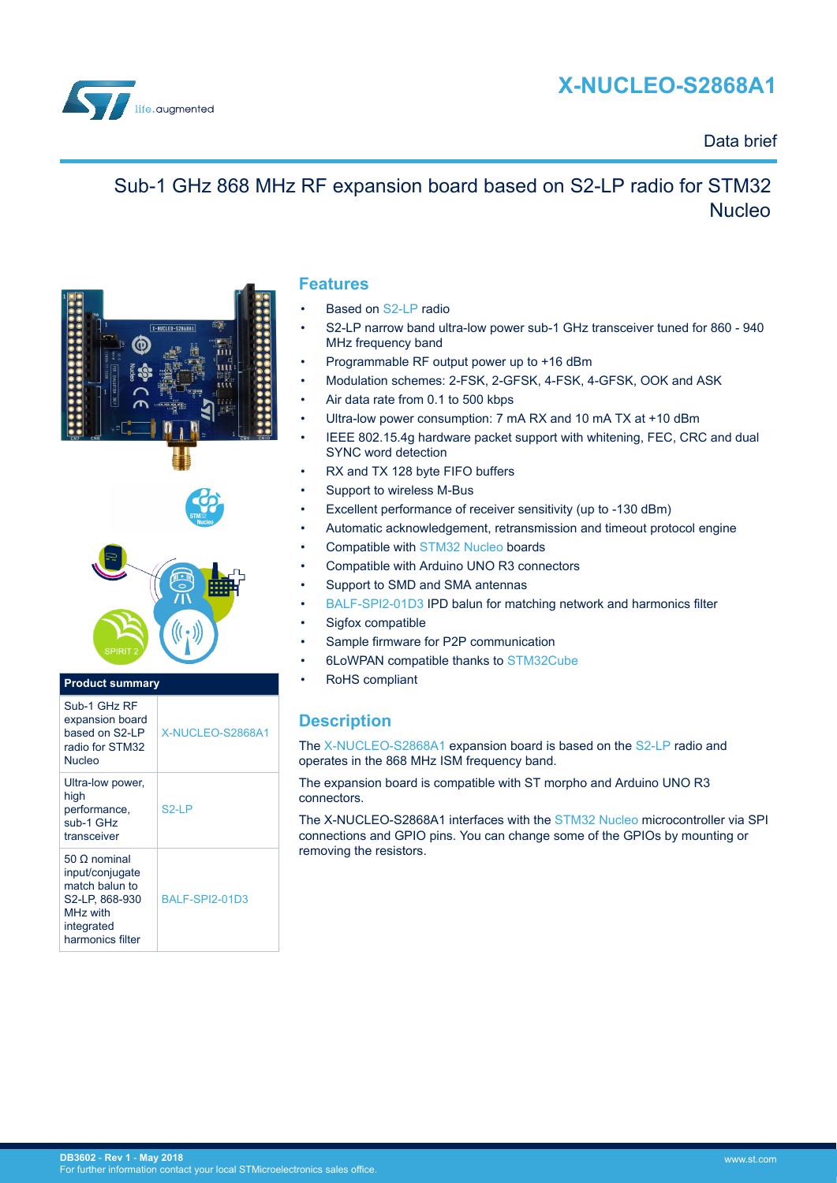# **X-NUCLEO-S2868A1**



### Data brief

## Sub-1 GHz 868 MHz RF expansion board based on S2-LP radio for STM32 Nucleo





### **Product summary**

| Sub-1 GHz RF<br>expansion board<br>based on S2-LP<br>radio for STM32<br>Nucleo                                                       | X-NUCLEO-S2868A1      |
|--------------------------------------------------------------------------------------------------------------------------------------|-----------------------|
| Ultra-low power,<br>high<br>performance,<br>sub-1 GHz<br>transceiver                                                                 | S2-I P                |
| $50 \Omega$ nominal<br>input/conjugate<br>match balun to<br>S2-LP, 868-930<br>MH <sub>z</sub> with<br>integrated<br>harmonics filter | <b>BALF-SPI2-01D3</b> |

### **Features**

- Based on [S2-LP](http://www.st.com/en/product/s2-lp) radio
- S2-LP narrow band ultra-low power sub-1 GHz transceiver tuned for 860 940 MHz frequency band
- Programmable RF output power up to +16 dBm
- Modulation schemes: 2-FSK, 2-GFSK, 4-FSK, 4-GFSK, OOK and ASK
- Air data rate from 0.1 to 500 kbps
- Ultra-low power consumption: 7 mA RX and 10 mA TX at +10 dBm
- IEEE 802.15.4g hardware packet support with whitening, FEC, CRC and dual SYNC word detection
- RX and TX 128 byte FIFO buffers
- Support to wireless M-Bus
- Excellent performance of receiver sensitivity (up to -130 dBm)
- Automatic acknowledgement, retransmission and timeout protocol engine
- Compatible with [STM32 Nucleo](http://www.st.com/stm32nucleo) boards
- Compatible with Arduino UNO R3 connectors
- Support to SMD and SMA antennas
- [BALF-SPI2-01D3](http://www.st.com/en/product/balf-spi2-01d3) IPD balun for matching network and harmonics filter
- Sigfox compatible
- Sample firmware for P2P communication
- 6LoWPAN compatible thanks to [STM32Cube](http://www.st.com/stm32cube)
- RoHS compliant

### **Description**

The [X-NUCLEO-S2868A1](http://www.st.com/en/product/x-nucleo-s2868a1) expansion board is based on the [S2-LP](http://www.st.com/en/product/s2-lp) radio and operates in the 868 MHz ISM frequency band.

The expansion board is compatible with ST morpho and Arduino UNO R3 connectors.

The X-NUCLEO-S2868A1 interfaces with the [STM32 Nucleo](http://www.st.com/stm32nucleo) microcontroller via SPI connections and GPIO pins. You can change some of the GPIOs by mounting or removing the resistors.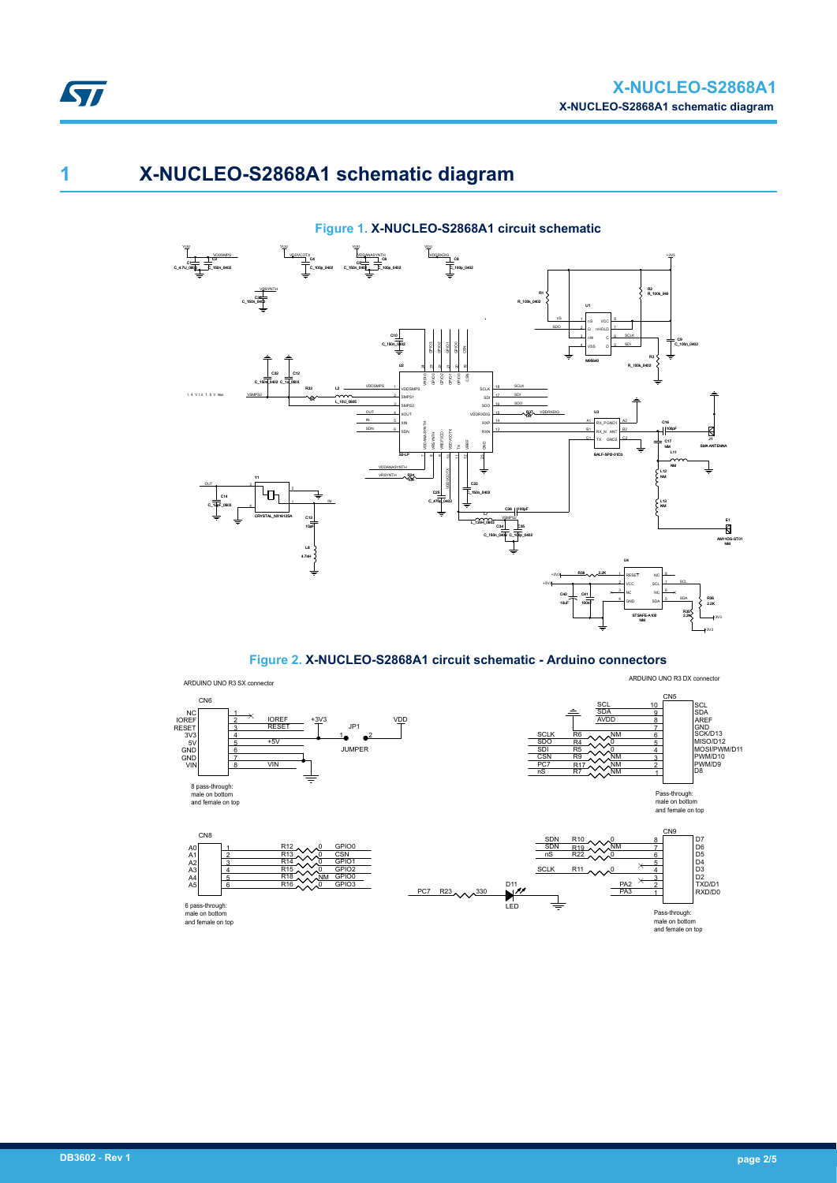# **1 X-NUCLEO-S2868A1 schematic diagram**

ST

### **Figure 1. X-NUCLEO-S2868A1 circuit schematic**



**Figure 2. X-NUCLEO-S2868A1 circuit schematic - Arduino connectors**

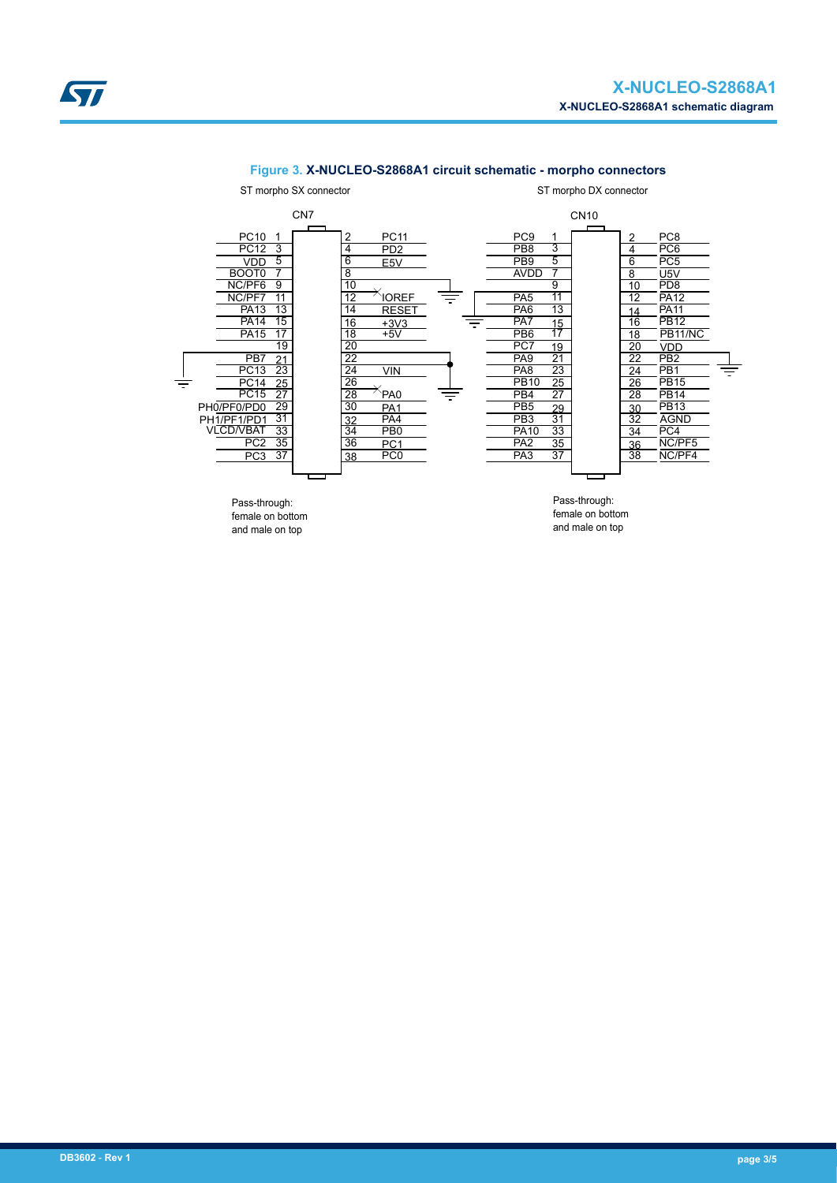

#### **Figure 3. X-NUCLEO-S2868A1 circuit schematic - morpho connectors**

female on bottom and male on top

female on bottom and male on top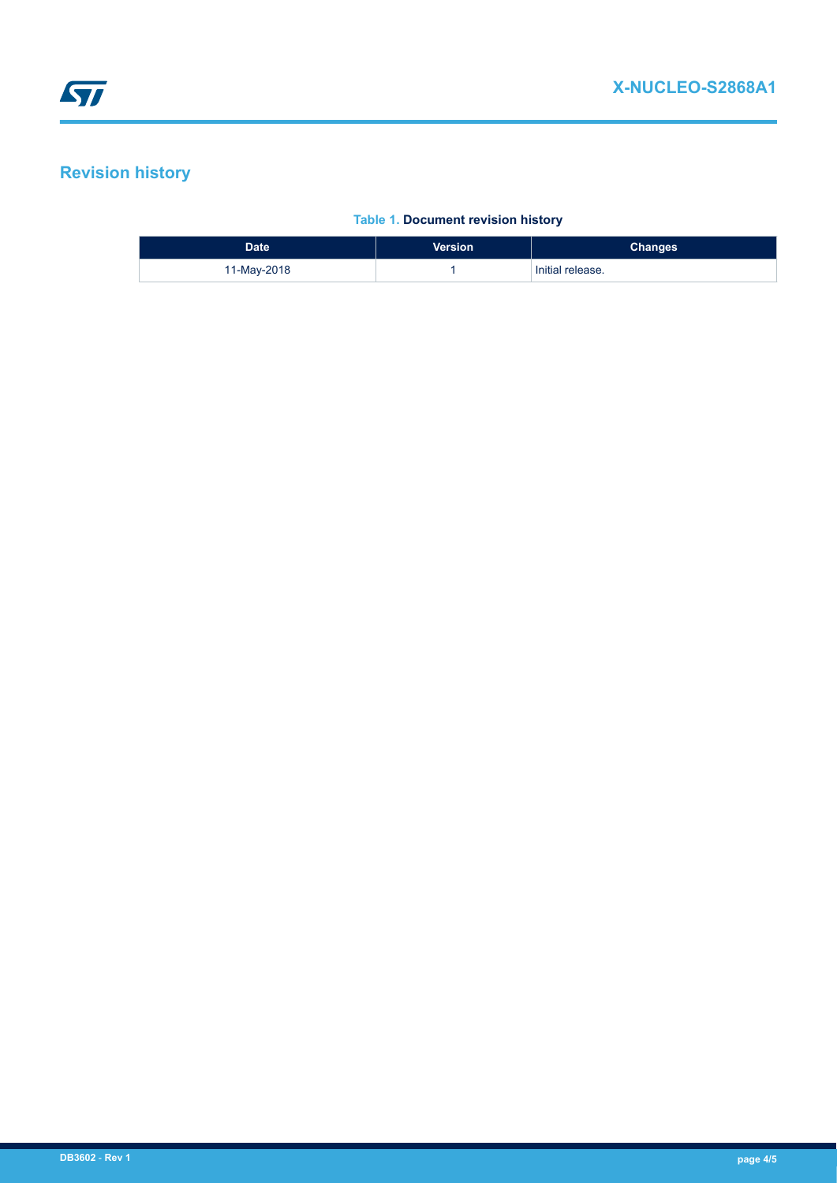## **Revision history**

### **Table 1. Document revision history**

| Date <sup>'</sup> | <b>Version</b> | <b>Changes</b>   |
|-------------------|----------------|------------------|
| 11-May-2018       |                | Initial release. |